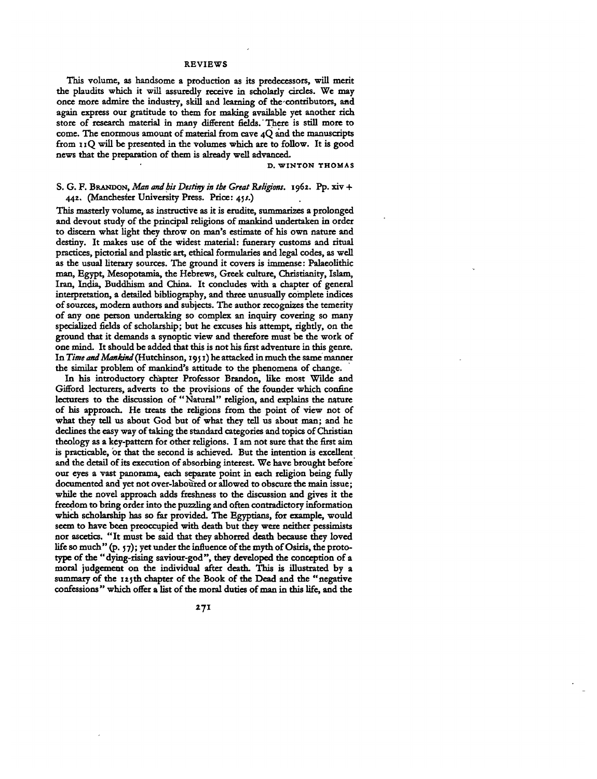**This volume, as handsome a production as its predecessors, will merit the plaudits which it will assuredly receive in scholarly circles. We may once more admire the industry, skill and laming<sup>o</sup> f the contributors, aad again express our gratitude to them for making available yet another rich store of research material in many different fields.' There is still more to come. The enormous amount of material from cave 4Q and the manuscripts from 1 iQ will be presented in the volumes which are to follow. It is good news that the preparation of them is already well advanced.**

**D. WINTON THOMAS**

# **S. G. F. BRANDON,** *Man and bis Destiny in the Gnat Religions.* **1962. Pp. xiv + 442. (Manchester University Press. Price: 45/.)**

**This masterly volume, as instructive as it is erudite, summarizes a prolonged and devout study of the principal religions of mankind undertaken in order to discern what light they throw on man's estimate of his own nature and destiny. It makes use of the widest material: funerary customs and ritual practices, pictorial and plastic art, ethical formularies and legal codes, as well as the usual literary sources. The ground it covers is immense: Palaeolithic man, Egypt, Mesopotamia, the Hebrews, Greek culture, Christianity, Islam, Iran, India, Buddhism and China. It concludes with a chapter of general interpretation, a detailed bibliography, and three unusually complete indices of sources, modern authors and subjects. The author recognizes the temerity of any one person undertaking so complex an inquiry covering so many specialized fields of scholarship; but he excuses his attempt, rightly, on the ground that it demands a synoptic view and therefore must be the work of one mind. It should be added that this is not his first adventure in this genre.** In *Time and Mankind* (Hutchinson, 1951) he attacked in much the same manner **the similar problem of mankind's attitude to the phenomena of change.**

**In his introductory chapter Professor Brandon, like most Wilde and Gifford lecturers, adverts to the provisions of the founder which confine lecturers to the discussion of "Natural" religion, and explains the nature of bis approach. He treats the religions from the point of view not of what they tell us about God but of what they tell us about man; and he declines the easy way of taking the standard categories and topics of Christian theology as a key-pattern for other religions. I am not sure that the first aim is practicable, or that the second is achieved. But the intention is excellent and the detail of its execution of absorbing interest. We have brought before our eyes a vast panorama, each separate point in each religion being fully documented and yet not over-laboured or allowed to obscure the main issue; while the novel approach adds freshness to the discussion and gives it the freedom to bring order into the puzzling and often contradictory information which scholarship has so far provided. The Egyptians, for example, would seem to have been preoccupied with death but they were neither pessimists nor ascetics. "It must be said that they abhorred death because they loved life so much " (p. 5 7); yet under the influence of the myth of Osiris, the prototype of the "dying-rising saviour-god", they developed the conception of a moral judgement on the individual after death. This is illustrated by a summary of the 125th chapter of the Book of the Dead and the "negative confessions " which offer a list of the moral duties of man in this life, and the**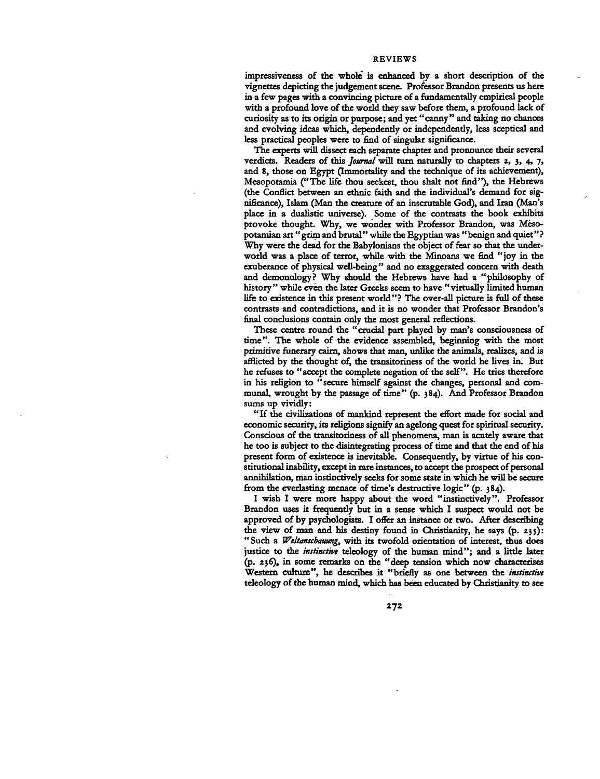**impressiveness of the whole is enhanced by a short description of the vignettes depicting the judgement scene. Professor Brandon presents us here in a few pages with a convincing picture of a fundamentally empirical people with a profound love of the world they saw before them, a profound lack of curiosity as to its origin or purpose; and yet "canny" and taking no chances and evolving ideas which, dependently or independently, less sceptical and less practical peoples were to find of singular significance.**

**The experts will dissect each separate chapter and pronounce their several** verdicts. Readers of this *Journal* will turn naturally to chapters 2, 3, 4, 7, **and 8, those on Egypt (Immortality and the technique of its achievement), Mesopotamia ("The life thou seekest, thou shalt not find"), the Hebrews (the Conflict between an ethnic faith and the individual's demand for significance), Islam (Man the creature of an inscrutable God), and Iran (Man's place in a dualistic universe). Some of the contrasts the book exhibits** provoke thought. Why, we wonder with Professor Brandon, was Meso**potamian art" grim and brutal" while the Egyptian was " benign and quiet" ?** Why were the dead for the Babylonians the object of fear so that the under**world was a place of terror, while with the Minoans we find "joy in the exuberance of physical well-being" and no exaggerated concern with death and demonology? Why should the Hebrews have had a "philosophy of history" while even the later Greeks seem to have "virtually limited human life to existence in this present world"? The over-all picture is full of these contrasts and contradictions, and it is no wonder that Professor Brandon's final conclusions contain only the most general reflections.**

**These centre round the "crucial part played by man's consciousness of time". The whole of the evidence assembled, beginning with the most primitive funerary cairn, shows that man, unlike the animals, realizes, and is afflicted by the thought of, the transitoriness of the world he lives in. But he refuses to "accept the complete negation of the self". He tries therefore in his religion to "secure himself against the changes, personal and communal, wrought by the passage of time" (p. 384). And Professor Brandon sums up vividly:**

**"If die civilizations of mankind represent the effort made for social and economic security, its religions signify an agelong quest for spiritual security. Conscious of the transitoriness of all phenomena, man is acutely aware that he too is subject to the disintegrating process of time and that the end of his present form of existence is inevitable. Consequently, by virtue of his constitutional inability, except in rare instances, to accept the prospect of personal annihilation, man instinctively seeks for some state in which he will be secure from the everlasting menace of time's destructive logic" (p. 384).**

**I wish I were more happy about the word "instinctively". Professor Brandon uses it frequently but in a sense which I suspect would not be approved of by psychologists. I offer an instance or two. After describing the view of man and his destiny found in Christianity, he says (p. 235): " Such a** *Weltanschauung,* **with its twofold orientation of interest, thus does justice to the** *instinctive* **teleology of the human mind"; and a little later (p. 236), in some remarks on the "deep tension which now characterises Western culture", he describes it "briefly as one between the** *instinctive* **teleology of the human mind, which has been educated by Christianity to see**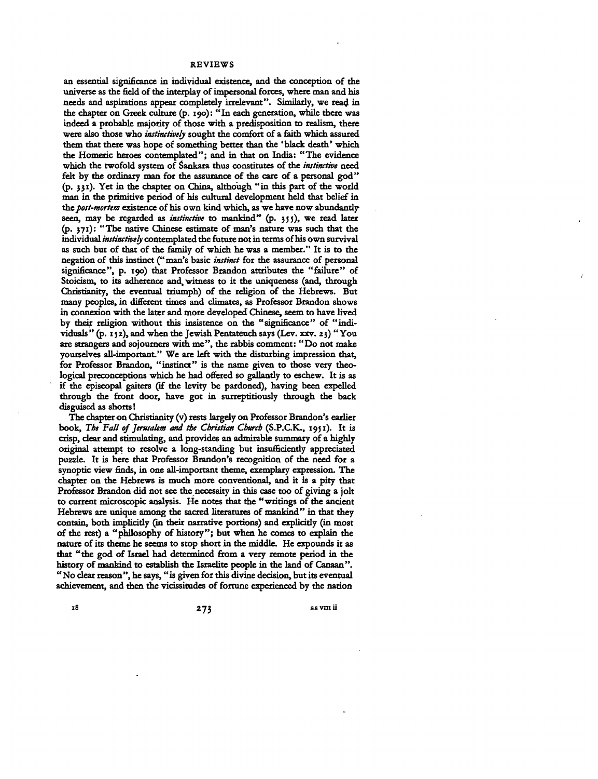**an essential significance in individual existence, and the conception of the universe as the field of the interplay of impersonal forces, where man and his needs and aspirations appear completely irrelevant". Similarly, we read in the chapter on Greek culture (p. 190): "In each generation, while there was indeed a probable majority of those with a predisposition to realism, there were also those who** *instinctively* **sought the comfort of a faith which assured them that there was hope of something better than the 'black death' which the Homeric heroes contemplated"; and in that on India: "The evidence which the twofold system of Sankara thus constitutes of the** *instinctive* **need felt by the ordinary man for the assurance of the care of a personal god" (p. 331). Yet in the chapter on China, although "in this part of the world man in the primitive period of his cultural development held that belief in the** *post-mortem* **existence of his own kind which, as we have now abundantly seen, may be regarded as** *instinctive* **to mankind" (p. 355), we read later (p. 371): "The native Chinese estimate of man's nature was such that the individual** *instinctively* **contemplated the future not in terms of his own survival as such but of that of the family of which he was a member." It is to the negation of this instinct ("man's basic** *instinct* **for the assurance of personal significance", p. 190) that Professor Brandon attributes the "failure" of Stoicism, to its adherence and, witness to it the uniqueness (and, through Christianity, the eventual triumph) of the religion of the Hebrews. But many peoples, in different times and climates, as Professor Brandon shows in connexion with the later and more developed Chinese, seem to have lived by their religion without this insistence on the "significance" of "individuals " (p. 1 \$ 2), and when the Jewish Pentateuch says (Lev. xxv. 23) " You are strangers and sojoumers with me", the rabbis comment: "Do not make yourselves all-important." We are left with the disturbing impression that, for Professor Brandon, "instinct" is the name given to those very theological preconceptions which he had offered so gallantly to eschew. It is as if the episcopal gaiters (if the levity be pardoned), having been expelled through the front door, have got in surreptitiously through the back disguised as shorts 1**

**The chapter on Christianity (v) rests largely on Professor Brandon's earlier book,** *The Fall of Jerusalem and the Christian Cburcb* **(S.P.C.K., 1951). It is crisp, clear and stimulating, and provides an admirable summary of a highly original attempt to resolve a long-standing but insufficiently appreciated puzzle. It is here that Professor Brandon's recognition of the need for a synoptic view finds, in one all-important theme, exemplary expression. The chapter on the Hebrews is much more conventional, and it is a pity that Professor Brandon did not see the necessity in this case too of giving a jolt to current microscopic analysis. He notes that the "writings of the ancient Hebrews are unique among the sacred literatures of mankind" in that they contain, both implicitly (in their narrative portions) and explicitly (in most of the rest) a "philosophy of history"; but when he comes to explain the nature of its theme he seems to stop short in the middle. He expounds it as that "the god of Israel had determined from a very remote period in the history of mankind to establish the Israelite people in the land of Canaan". "No clear reason", he says, "is given for this divine decision, but its eventual achievement, and then the vicissitudes of fortune experienced by the nation**

**18 273 ssvraii**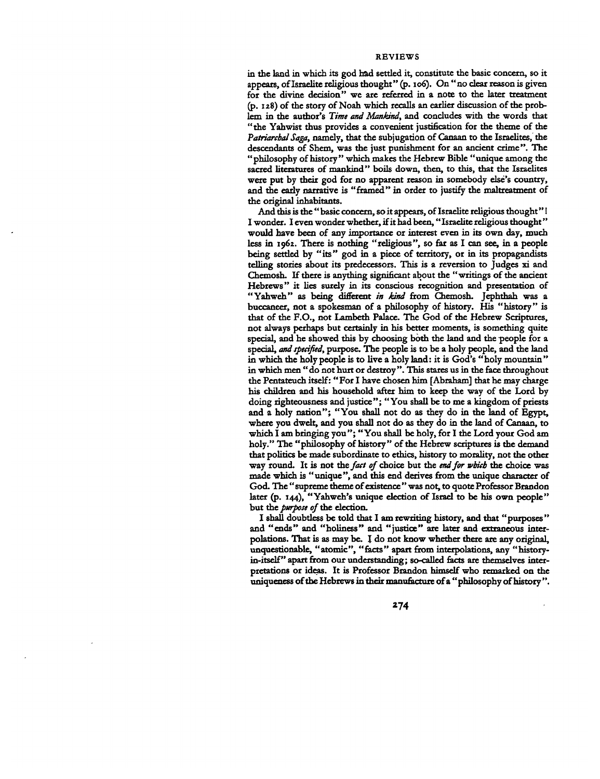**in the land in which its god had settled it, constitute the basic concern, so it appears, of Israelite religious thought" (p. 106). On " no clear reason is given for the divine decision" we are referred in a note to the later treatment (p. 128) of the story of Noah which recalls an earlier discussion of the problem in the author's** *Time and Mankind,* **and concludes with the words that "the Yahwist thus provides a convenient justification for the theme of the** *Patriarchal Saga,* **namely, that the subjugation of Canaan to the Israelites, the descendants of Shem, was the just punishment for an ancient crime". The "philosophy of history " which makes the Hebrew Bible "unique among the sacred literatures of mankind" boils down, then, to this, that the Israelites were put by their god for no apparent reason in somebody else's country, and the early narrative is "framed" in order to justify the maltreatment of the original inhabitants.**

**And this is the " basic concern, so it appears, of Israelite religious thought" I I wonder. I even wonder whether, if it had been," Israelite religious thought" would have been of any importance or interest even in its own day, much less in 1962. There is nothing "religious", so far as I can see, in a people being settled by "its" god in a piece of territory, or in its propagandists telling stories about its predecessors. This is a reversion to Judges xi and Chemosh. If there is anything significant about the "writings of the ancient Hebrews" it lies surely in its conscious recognition and presentation of "Yahweh" as being different** *in kind* **from Chemosh. Jephthah was a buccaneer, not a spokesman of a philosophy of history. His "history" is that of the F.O., not Lambeth Palace. The God of the Hebrew Scriptures, not always perhaps but certainly in his better moments, is something quite** special, and he showed this by choosing both the land and the people for a **special,** *and specified,* **purpose. The people is to be a holy people, and the land in which the holy people is to live a holy land: it is God's " holy mountain " in which men "do not hurt or destroy". This stares us in the face throughout the Pentateuch itself: "For I have chosen him [Abraham] that he may charge his children and his household after him to keep the way of the Lord by doing righteousness and justice"; "You shall be to me a kingdom of priests and a holy nation"; "You shall not do as they do in the land of Egypt,** where you dwelt, and you shall not do as they do in the land of Canaan, to **which I am bringing you"; "You shall be holy, for I the Lord your God am holy." The "philosophy of history" of the Hebrew scriptures is the demand that politics be made subordinate to ethics, history to morality, not the other way round. It is not the** *fact of* **choice but the** *end for which* **the choice was made which is "unique", and this end derives from the unique character of God. The " supreme theme of existence " was not, to quote Professor Brandon later (p. 144), " Yahweh's unique election of Israel to be his own people" but** *the. purpose of the* **election.**

**I shall doubtless be told that I am rewriting history, and that "purposes " and "ends" and "holiness" and "justice" are later and extraneous interpolations. That is as may be. I do not know whether there are any original, unquestionable, "atomic", "facts" apart from interpolations, any "historyin-itself" apart from our understanding; so-called facts are themselves interpretations or ideas. It is Professor Brandon himself who remarked on the uniqueness of the Hebrews in their manufacture of a "philosophy of history ".**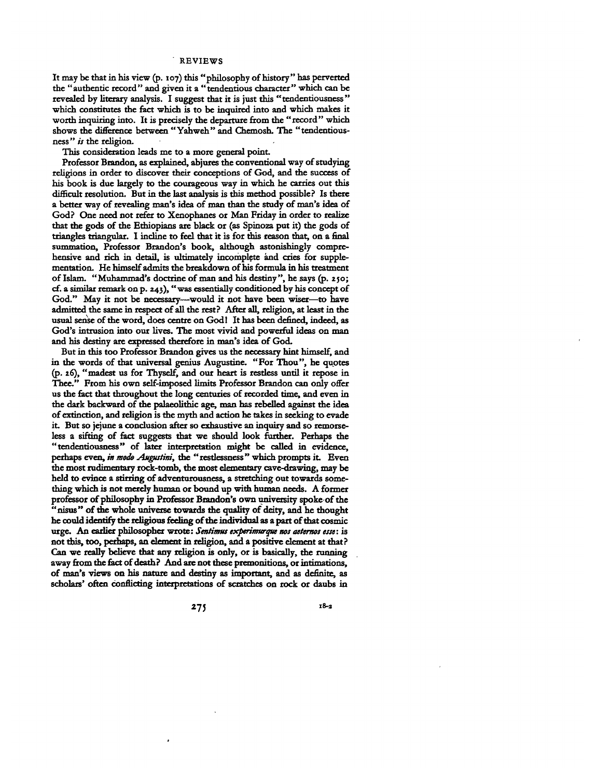**It may be that in his view (p. 107) this "philosophy of history" has perverted the "authentic record" and given it a "tendentious character" which can be revealed by literary analysis. I suggest that it is just this "tendentiousness" which constitutes the fact which is to be inquired into and which makes it worth inquiring into. It is precisely the departure from the "record" which shows the difference between "Yahweh" and Chemosh. The "tendentiousness"** *is* **the religion.**

**This consideration leads me to a more general point.**

**Professor Brandon, as explained, abjures the conventional way of studying religions in order to discover their conceptions of God, and the success of his book is due largely to the courageous way in which he carries out this difficult resolution. But in the last analysis is this method possible? Is there a better way of revealing man's idea of man than the study of man's idea of God? One need not refer to Xenophanes or Man Friday in order to realize that the gods of the Ethiopians are black or (as Spinoza put it) the gods of triangles triangular. I incline to feel that it is for this reason that, on a final summation, Professor Brandon's book, although astonishingly comprehensive and rich in detail, is ultimately incomplete and cries for supplementation. He himself admits the breakdown of his formula in his treatment of Islam. "Muhammad's doctrine of man and his destiny", he says (p. 250; cf. a similar remark on p. 243), "was essentially conditioned by his concept of God." May it not be necessary—would it not have been wiser—to have admitted the same in respect of all the rest? After all, religion, at least in the usual sense of the word, does centre on God! It has been defined, indeed, as God's intrusion into our lives. The most vivid and powerful ideas on man and his destiny are expressed therefore in man's idea of God.**

**But in this too Professor Brandon gives us the necessary hint himself, and in the words of that universal genius Augustine. "For Thou", he quotes (p. 26), "madest us for Thyself, and our heart is restless until it repose in Thee." From his own self-imposed limits Professor Brandon can only offer us the feet that throughout die long centuries of recorded time, and even in the dark backward of the palaeolithic age, man has rebelled against the idea of extinction, and religion is the myth and action he takes in seeking to evade it. But so jejune a conclusion after so exhaustive an inquiry and so remorseless a sifting of fact suggests that we should look further. Perhaps the "tendentiousness" of later interpretation might be called in evidence, perhaps even,** *in mode Augutim,* **the "restlessness" which prompts it Even die most rudimentary rock-tomb, the most elementary cave-drawing, may be held to evince a stirring of adventurousness, a stretching out towards something which is not merely human or bound up with human needs. A former professor of philosophy in Professor Brandon's own university spoke of the "nisus" of the whole universe towards the quality of deity, and he thought he could identify the religious feeling of die individual as a part of that cosmic urge. An earlier philosopher wrote:** *Sentimus experimurque not aeternos esse:* **is not this, too, perhaps, an dement in religion, and a positive element at that? Can we really believe that any religion is only, or is basically, the running away from the fact of death? And are not these premonitions, or intimations, of man's views on his nature and destiny as important, and as definite, as scholars' often conflicting interpretations of scratches on rock or daubs in**

**27J 18-a**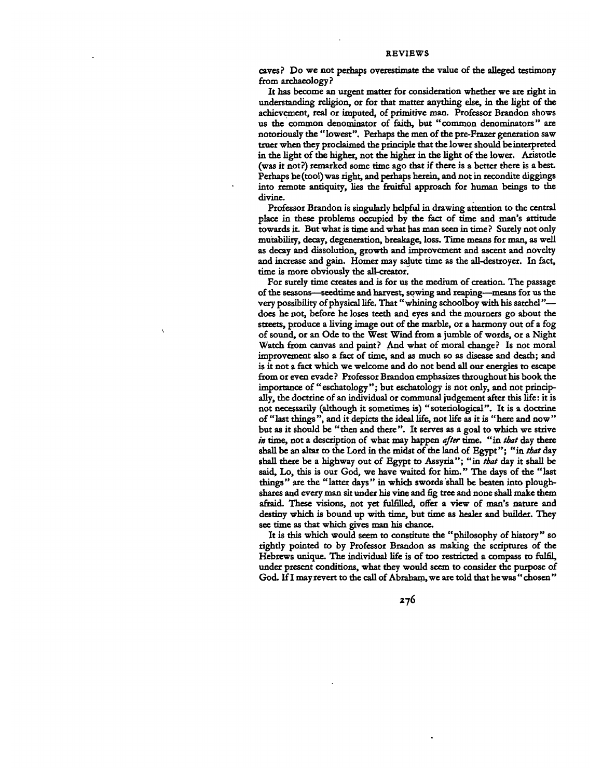**caves? Do we not perhaps overestimate the value of the alleged testimony from archaeology?**

**It has become an urgent matter for consideration whether we are right in** understanding religion, or for that matter anything else, in the light of the **achievement, real or imputed, of primitive man. Professor Brandon shows us the common denominator of faith, but "common denominators" are notoriously the "lowest". Perhaps the men of the pre-Frazer generation saw truer when they proclaimed the principle that the lower should be interpreted in the light of the higher, not the higher in the light of the lower. Aristotle (was it not?) remarked some time ago that if there is a better there is a best. Perhaps he (tool) was right, and perhaps herein, and not in recondite diggings into remote antiquity, lies the fruitful approach for human beings to the divine.**

**Professor Brandon is singularly helpful in drawing attention to the central place in these problems occupied by the fact of time and man's attitude towards it. But what is time and what has man seen in time ? Surely not only mutability, decay, degeneration, breakage, loss. Time means for man, as well as decay and dissolution, growth and improvement and ascent and novelty and increase and gain. Homer may salute time as the all-destroyer. In fact, time is more obviously the all-creator.**

**For surely time creates and is for us the medium of creation. The passage of the seasons—seedtime and harvest, sowing and reaping—means for us the** very possibility of physical life. That "whining schoolboy with his satchel"**does he not, before he loses teeth and eyes and the mourners go about the streets, produce a living image out of the marble, or a harmony out of a fog of sound, or an Ode to the West Wind from a jumble of words, or a Night Watch from canvas and paint? And what of moral change? Is not moral improvement also a fact of time, and as much so as disease and death; and is it not a fact which we welcome and do not bend all our energies to escape from or even evade? Professor Brandon emphasizes throughout his book the importance of "eschatology"; but eschatology is not only, and not principally, the doctrine of an individual or communal judgement after this life: it is not necessarily (although it sometimes is) "soteriological". It is a doctrine of " last things ", and it depicts the ideal life, not life as it is " here and now " but as it should be "then and there". It serves as a goal to which we strive** *in* **time, not a description of what may happen** *after* **time, "in** *that* **day there shall be an altar to the Lord in the midst of the land of Egypt"; "in** *that* **day shall there be a highway out of Egypt to Assyria"; "in** *that* **day it shall be said, Lo, this is our God, we have waited for him." The days of the "last things" are the "latter days" in which swords shall be beaten into ploughshares and every man sit under his vine and fig tree and none shall make them afraid. These visions, not yet fulfilled, offer a view of man's nature and destiny which is bound up with time, but time as healer and builder. They** see time as that which gives man his chance.

**It is this which would seem to constitute the "philosophy of history" so rightly pointed to by Professor Brandon as making the scriptures of the Hebrews unique. The individual life is of too restricted a compass to fulfil, under present conditions, what they would seem to consider the purpose of God. If I may revert to the call of Abraham, we are told that he was "chosen"**

*z-jG*